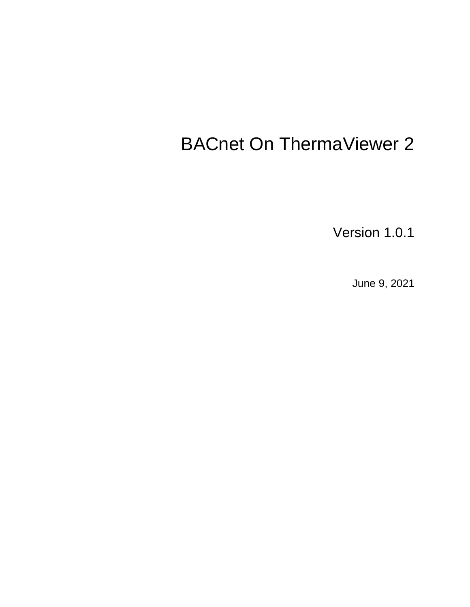# BACnet On ThermaViewer 2

Version 1.0.1

June 9, 2021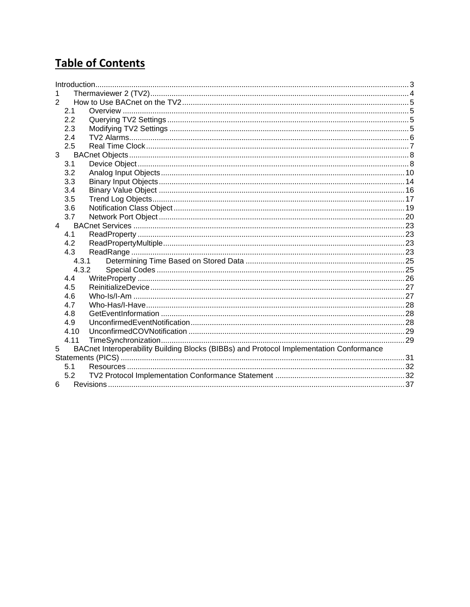## **Table of Contents**

| 2                                                                                            |  |
|----------------------------------------------------------------------------------------------|--|
| 2.1                                                                                          |  |
| 2.2                                                                                          |  |
| 2.3                                                                                          |  |
| 2.4                                                                                          |  |
| 2.5                                                                                          |  |
| 3                                                                                            |  |
| 3.1                                                                                          |  |
| 3.2                                                                                          |  |
| 3.3                                                                                          |  |
| 3.4                                                                                          |  |
| 3.5                                                                                          |  |
| 3.6                                                                                          |  |
| 3.7                                                                                          |  |
| $\overline{4}$                                                                               |  |
| 4.1                                                                                          |  |
| 4.2                                                                                          |  |
| 4.3                                                                                          |  |
| 4.3.1                                                                                        |  |
| 4.3.2                                                                                        |  |
| 4.4                                                                                          |  |
| 4.5                                                                                          |  |
| 4.6                                                                                          |  |
| 4.7                                                                                          |  |
| 4.8                                                                                          |  |
| 4.9                                                                                          |  |
| 4.10                                                                                         |  |
| 4.11                                                                                         |  |
| BACnet Interoperability Building Blocks (BIBBs) and Protocol Implementation Conformance<br>5 |  |
|                                                                                              |  |
| 5.1                                                                                          |  |
| 5.2                                                                                          |  |
| 6                                                                                            |  |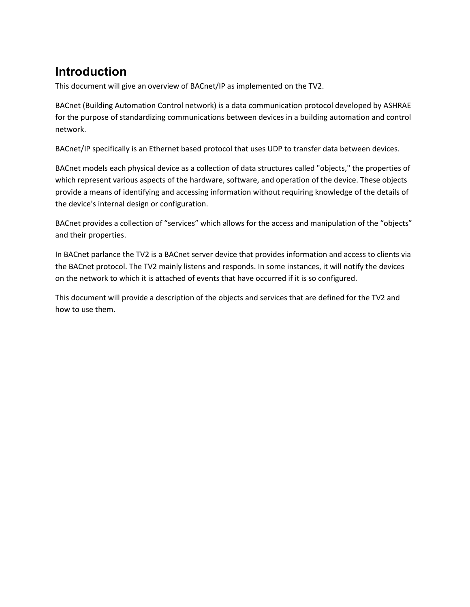## <span id="page-2-0"></span>**Introduction**

This document will give an overview of BACnet/IP as implemented on the TV2.

BACnet (Building Automation Control network) is a data communication protocol developed by ASHRAE for the purpose of standardizing communications between devices in a building automation and control network.

BACnet/IP specifically is an Ethernet based protocol that uses UDP to transfer data between devices.

BACnet models each physical device as a collection of data structures called "objects," the properties of which represent various aspects of the hardware, software, and operation of the device. These objects provide a means of identifying and accessing information without requiring knowledge of the details of the device's internal design or configuration.

BACnet provides a collection of "services" which allows for the access and manipulation of the "objects" and their properties.

In BACnet parlance the TV2 is a BACnet server device that provides information and access to clients via the BACnet protocol. The TV2 mainly listens and responds. In some instances, it will notify the devices on the network to which it is attached of events that have occurred if it is so configured.

This document will provide a description of the objects and services that are defined for the TV2 and how to use them.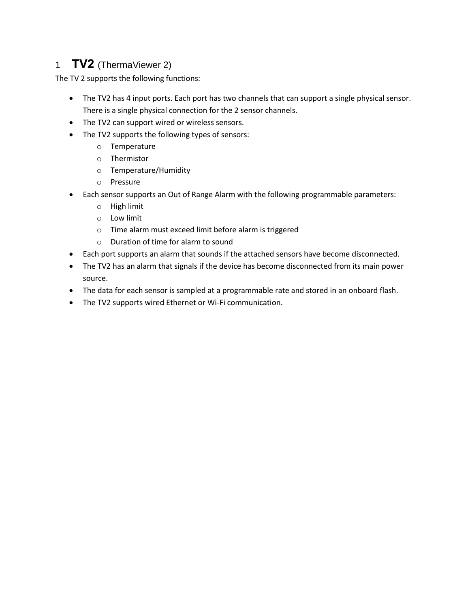### <span id="page-3-0"></span>1 **TV2** (ThermaViewer 2)

The TV 2 supports the following functions:

- The TV2 has 4 input ports. Each port has two channels that can support a single physical sensor. There is a single physical connection for the 2 sensor channels.
- The TV2 can support wired or wireless sensors.
- The TV2 supports the following types of sensors:
	- o Temperature
	- o Thermistor
	- o Temperature/Humidity
	- o Pressure
- Each sensor supports an Out of Range Alarm with the following programmable parameters:
	- o High limit
	- o Low limit
	- o Time alarm must exceed limit before alarm is triggered
	- o Duration of time for alarm to sound
- Each port supports an alarm that sounds if the attached sensors have become disconnected.
- The TV2 has an alarm that signals if the device has become disconnected from its main power source.
- The data for each sensor is sampled at a programmable rate and stored in an onboard flash.
- The TV2 supports wired Ethernet or Wi-Fi communication.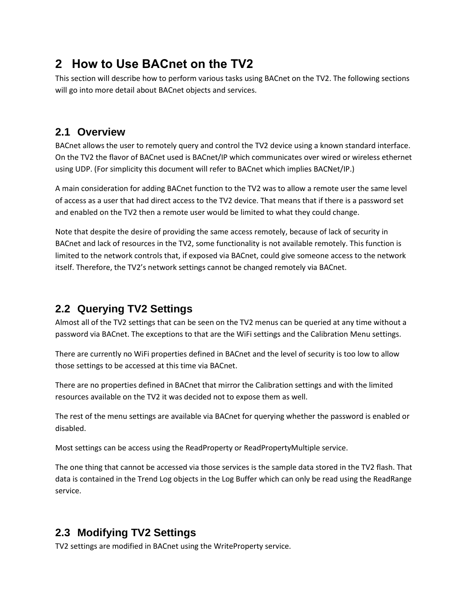## <span id="page-4-0"></span>**2 How to Use BACnet on the TV2**

This section will describe how to perform various tasks using BACnet on the TV2. The following sections will go into more detail about BACnet objects and services.

### <span id="page-4-1"></span>**2.1 Overview**

BACnet allows the user to remotely query and control the TV2 device using a known standard interface. On the TV2 the flavor of BACnet used is BACnet/IP which communicates over wired or wireless ethernet using UDP. (For simplicity this document will refer to BACnet which implies BACNet/IP.)

A main consideration for adding BACnet function to the TV2 was to allow a remote user the same level of access as a user that had direct access to the TV2 device. That means that if there is a password set and enabled on the TV2 then a remote user would be limited to what they could change.

Note that despite the desire of providing the same access remotely, because of lack of security in BACnet and lack of resources in the TV2, some functionality is not available remotely. This function is limited to the network controls that, if exposed via BACnet, could give someone access to the network itself. Therefore, the TV2's network settings cannot be changed remotely via BACnet.

### <span id="page-4-2"></span>**2.2 Querying TV2 Settings**

Almost all of the TV2 settings that can be seen on the TV2 menus can be queried at any time without a password via BACnet. The exceptions to that are the WiFi settings and the Calibration Menu settings.

There are currently no WiFi properties defined in BACnet and the level of security is too low to allow those settings to be accessed at this time via BACnet.

There are no properties defined in BACnet that mirror the Calibration settings and with the limited resources available on the TV2 it was decided not to expose them as well.

The rest of the menu settings are available via BACnet for querying whether the password is enabled or disabled.

Most settings can be access using the ReadProperty or ReadPropertyMultiple service.

The one thing that cannot be accessed via those services is the sample data stored in the TV2 flash. That data is contained in the Trend Log objects in the Log Buffer which can only be read using the ReadRange service.

### <span id="page-4-3"></span>**2.3 Modifying TV2 Settings**

TV2 settings are modified in BACnet using the WriteProperty service.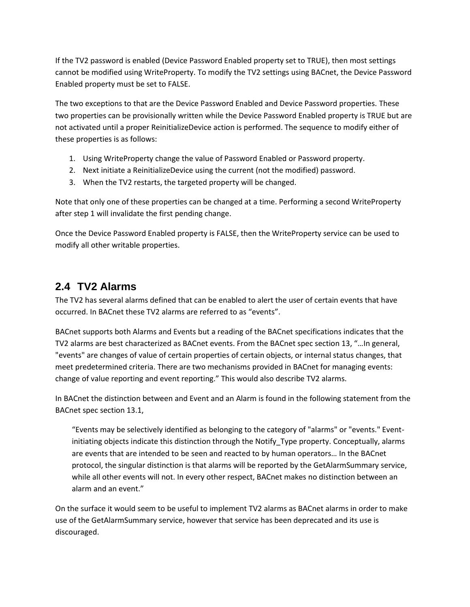If the TV2 password is enabled (Device Password Enabled property set to TRUE), then most settings cannot be modified using WriteProperty. To modify the TV2 settings using BACnet, the Device Password Enabled property must be set to FALSE.

The two exceptions to that are the Device Password Enabled and Device Password properties. These two properties can be provisionally written while the Device Password Enabled property is TRUE but are not activated until a proper ReinitializeDevice action is performed. The sequence to modify either of these properties is as follows:

- 1. Using WriteProperty change the value of Password Enabled or Password property.
- 2. Next initiate a ReinitializeDevice using the current (not the modified) password.
- 3. When the TV2 restarts, the targeted property will be changed.

Note that only one of these properties can be changed at a time. Performing a second WriteProperty after step 1 will invalidate the first pending change.

Once the Device Password Enabled property is FALSE, then the WriteProperty service can be used to modify all other writable properties.

### <span id="page-5-0"></span>**2.4 TV2 Alarms**

The TV2 has several alarms defined that can be enabled to alert the user of certain events that have occurred. In BACnet these TV2 alarms are referred to as "events".

BACnet supports both Alarms and Events but a reading of the BACnet specifications indicates that the TV2 alarms are best characterized as BACnet events. From the BACnet spec section 13, "…In general, "events" are changes of value of certain properties of certain objects, or internal status changes, that meet predetermined criteria. There are two mechanisms provided in BACnet for managing events: change of value reporting and event reporting." This would also describe TV2 alarms.

In BACnet the distinction between and Event and an Alarm is found in the following statement from the BACnet spec section 13.1,

"Events may be selectively identified as belonging to the category of "alarms" or "events." Eventinitiating objects indicate this distinction through the Notify\_Type property. Conceptually, alarms are events that are intended to be seen and reacted to by human operators… In the BACnet protocol, the singular distinction is that alarms will be reported by the GetAlarmSummary service, while all other events will not. In every other respect, BACnet makes no distinction between an alarm and an event."

On the surface it would seem to be useful to implement TV2 alarms as BACnet alarms in order to make use of the GetAlarmSummary service, however that service has been deprecated and its use is discouraged.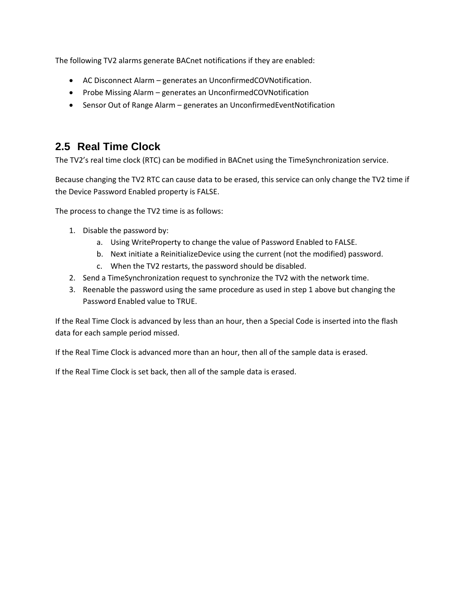The following TV2 alarms generate BACnet notifications if they are enabled:

- AC Disconnect Alarm generates an UnconfirmedCOVNotification.
- Probe Missing Alarm generates an UnconfirmedCOVNotification
- Sensor Out of Range Alarm generates an UnconfirmedEventNotification

#### <span id="page-6-0"></span>**2.5 Real Time Clock**

The TV2's real time clock (RTC) can be modified in BACnet using the TimeSynchronization service.

Because changing the TV2 RTC can cause data to be erased, this service can only change the TV2 time if the Device Password Enabled property is FALSE.

The process to change the TV2 time is as follows:

- 1. Disable the password by:
	- a. Using WriteProperty to change the value of Password Enabled to FALSE.
	- b. Next initiate a ReinitializeDevice using the current (not the modified) password.
	- c. When the TV2 restarts, the password should be disabled.
- 2. Send a TimeSynchronization request to synchronize the TV2 with the network time.
- 3. Reenable the password using the same procedure as used in step 1 above but changing the Password Enabled value to TRUE.

If the Real Time Clock is advanced by less than an hour, then a Special Code is inserted into the flash data for each sample period missed.

If the Real Time Clock is advanced more than an hour, then all of the sample data is erased.

If the Real Time Clock is set back, then all of the sample data is erased.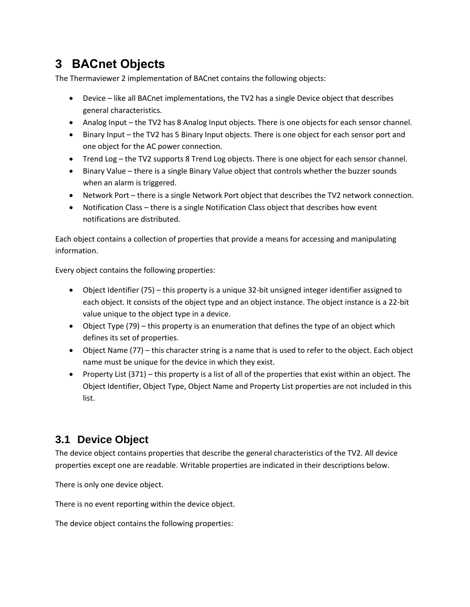## <span id="page-7-0"></span>**3 BACnet Objects**

The Thermaviewer 2 implementation of BACnet contains the following objects:

- Device like all BACnet implementations, the TV2 has a single Device object that describes general characteristics.
- Analog Input the TV2 has 8 Analog Input objects. There is one objects for each sensor channel.
- Binary Input the TV2 has 5 Binary Input objects. There is one object for each sensor port and one object for the AC power connection.
- Trend Log the TV2 supports 8 Trend Log objects. There is one object for each sensor channel.
- Binary Value there is a single Binary Value object that controls whether the buzzer sounds when an alarm is triggered.
- Network Port there is a single Network Port object that describes the TV2 network connection.
- Notification Class there is a single Notification Class object that describes how event notifications are distributed.

Each object contains a collection of properties that provide a means for accessing and manipulating information.

Every object contains the following properties:

- Object Identifier (75) this property is a unique 32-bit unsigned integer identifier assigned to each object. It consists of the object type and an object instance. The object instance is a 22-bit value unique to the object type in a device.
- Object Type (79) this property is an enumeration that defines the type of an object which defines its set of properties.
- Object Name (77) this character string is a name that is used to refer to the object. Each object name must be unique for the device in which they exist.
- Property List (371) this property is a list of all of the properties that exist within an object. The Object Identifier, Object Type, Object Name and Property List properties are not included in this list.

### <span id="page-7-1"></span>**3.1 Device Object**

The device object contains properties that describe the general characteristics of the TV2. All device properties except one are readable. Writable properties are indicated in their descriptions below.

There is only one device object.

There is no event reporting within the device object.

The device object contains the following properties: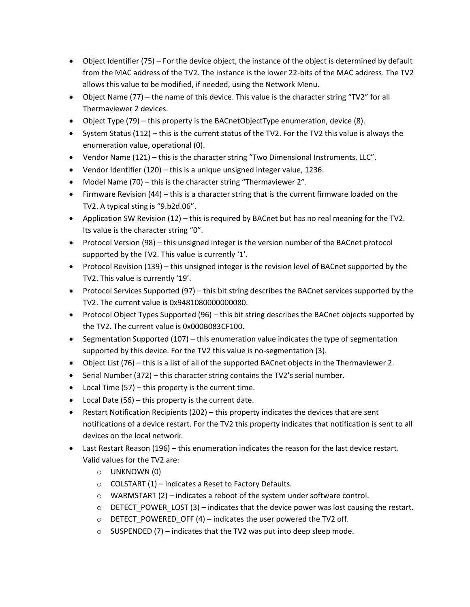- Object Identifier (75) For the device object, the instance of the object is determined by default from the MAC address of the TV2. The instance is the lower 22-bits of the MAC address. The TV2 allows this value to be modified, if needed, using the Network Menu.
- Object Name (77) the name of this device. This value is the character string "TV2" for all Thermaviewer 2 devices.
- Object Type (79) this property is the BACnetObjectType enumeration, device (8).
- System Status (112) this is the current status of the TV2. For the TV2 this value is always the enumeration value, operational (0).
- Vendor Name (121) this is the character string "Two Dimensional Instruments, LLC".
- Vendor Identifier (120) this is a unique unsigned integer value, 1236.
- Model Name (70) this is the character string "Thermaviewer 2".
- Firmware Revision (44) this is a character string that is the current firmware loaded on the TV2. A typical sting is "9.b2d.06".
- Application SW Revision (12) this is required by BACnet but has no real meaning for the TV2. Its value is the character string "0".
- Protocol Version (98) this unsigned integer is the version number of the BACnet protocol supported by the TV2. This value is currently '1'.
- Protocol Revision (139) this unsigned integer is the revision level of BACnet supported by the TV2. This value is currently '19'.
- Protocol Services Supported (97) this bit string describes the BACnet services supported by the TV2. The current value is 0x9481080000000080.
- Protocol Object Types Supported (96) this bit string describes the BACnet objects supported by the TV2. The current value is 0x000B083CF100.
- Segmentation Supported (107) this enumeration value indicates the type of segmentation supported by this device. For the TV2 this value is no-segmentation (3).
- Object List (76) this is a list of all of the supported BACnet objects in the Thermaviewer 2.
- Serial Number (372) this character string contains the TV2's serial number.
- Local Time (57) this property is the current time.
- Local Date (56) this property is the current date.
- Restart Notification Recipients (202) this property indicates the devices that are sent notifications of a device restart. For the TV2 this property indicates that notification is sent to all devices on the local network.
- Last Restart Reason (196) this enumeration indicates the reason for the last device restart. Valid values for the TV2 are:
	- o UNKNOWN (0)
	- $\circ$  COLSTART (1) indicates a Reset to Factory Defaults.
	- $\circ$  WARMSTART (2) indicates a reboot of the system under software control.
	- $\circ$  DETECT POWER LOST (3) indicates that the device power was lost causing the restart.
	- $\circ$  DETECT POWERED OFF (4) indicates the user powered the TV2 off.
	- $\circ$  SUSPENDED (7) indicates that the TV2 was put into deep sleep mode.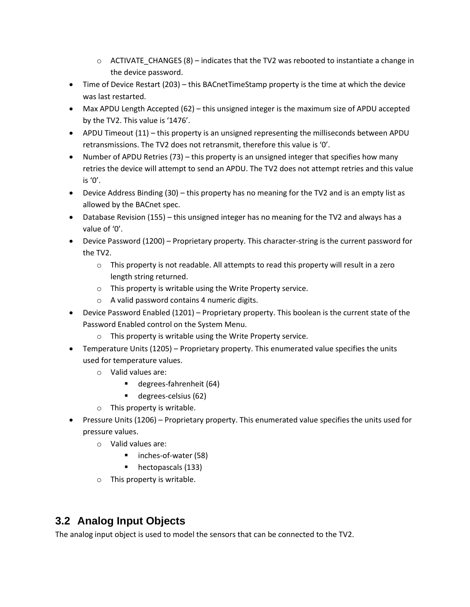- $\circ$  ACTIVATE CHANGES (8) indicates that the TV2 was rebooted to instantiate a change in the device password.
- Time of Device Restart (203) this BACnetTimeStamp property is the time at which the device was last restarted.
- Max APDU Length Accepted (62) this unsigned integer is the maximum size of APDU accepted by the TV2. This value is '1476'.
- APDU Timeout (11) this property is an unsigned representing the milliseconds between APDU retransmissions. The TV2 does not retransmit, therefore this value is '0'.
- Number of APDU Retries (73) this property is an unsigned integer that specifies how many retries the device will attempt to send an APDU. The TV2 does not attempt retries and this value is '0'.
- Device Address Binding (30) this property has no meaning for the TV2 and is an empty list as allowed by the BACnet spec.
- Database Revision (155) this unsigned integer has no meaning for the TV2 and always has a value of '0'.
- Device Password (1200) Proprietary property. This character-string is the current password for the TV2.
	- $\circ$  This property is not readable. All attempts to read this property will result in a zero length string returned.
	- o This property is writable using the Write Property service.
	- o A valid password contains 4 numeric digits.
- Device Password Enabled (1201) Proprietary property. This boolean is the current state of the Password Enabled control on the System Menu.
	- o This property is writable using the Write Property service.
- Temperature Units (1205) Proprietary property. This enumerated value specifies the units used for temperature values.
	- o Valid values are:
		- degrees-fahrenheit (64)
		- degrees-celsius (62)
	- o This property is writable.
- Pressure Units (1206) Proprietary property. This enumerated value specifies the units used for pressure values.
	- o Valid values are:
		- inches-of-water (58)
		- hectopascals (133)
	- o This property is writable.

## <span id="page-9-0"></span>**3.2 Analog Input Objects**

The analog input object is used to model the sensors that can be connected to the TV2.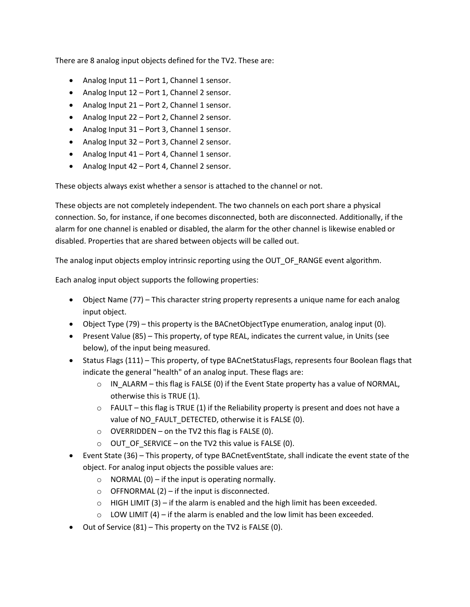There are 8 analog input objects defined for the TV2. These are:

- Analog Input  $11$  Port 1, Channel 1 sensor.
- Analog Input 12 Port 1, Channel 2 sensor.
- Analog Input 21 Port 2, Channel 1 sensor.
- Analog Input 22 Port 2, Channel 2 sensor.
- Analog Input 31 Port 3, Channel 1 sensor.
- Analog Input 32 Port 3, Channel 2 sensor.
- Analog Input 41 Port 4, Channel 1 sensor.
- Analog Input 42 Port 4, Channel 2 sensor.

These objects always exist whether a sensor is attached to the channel or not.

These objects are not completely independent. The two channels on each port share a physical connection. So, for instance, if one becomes disconnected, both are disconnected. Additionally, if the alarm for one channel is enabled or disabled, the alarm for the other channel is likewise enabled or disabled. Properties that are shared between objects will be called out.

The analog input objects employ intrinsic reporting using the OUT\_OF\_RANGE event algorithm.

Each analog input object supports the following properties:

- Object Name (77) This character string property represents a unique name for each analog input object.
- Object Type (79) this property is the BACnetObjectType enumeration, analog input (0).
- Present Value (85) This property, of type REAL, indicates the current value, in Units (see below), of the input being measured.
- Status Flags (111) This property, of type BACnetStatusFlags, represents four Boolean flags that indicate the general "health" of an analog input. These flags are:
	- $\circ$  IN ALARM this flag is FALSE (0) if the Event State property has a value of NORMAL, otherwise this is TRUE (1).
	- $\circ$  FAULT this flag is TRUE (1) if the Reliability property is present and does not have a value of NO\_FAULT\_DETECTED, otherwise it is FALSE (0).
	- $\circ$  OVERRIDDEN on the TV2 this flag is FALSE (0).
	- $\circ$  OUT OF SERVICE on the TV2 this value is FALSE (0).
- Event State (36) This property, of type BACnetEventState, shall indicate the event state of the object. For analog input objects the possible values are:
	- $\circ$  NORMAL (0) if the input is operating normally.
	- $\circ$  OFFNORMAL (2) if the input is disconnected.
	- $\circ$  HIGH LIMIT (3) if the alarm is enabled and the high limit has been exceeded.
	- $\circ$  LOW LIMIT (4) if the alarm is enabled and the low limit has been exceeded.
- Out of Service (81) This property on the TV2 is FALSE (0).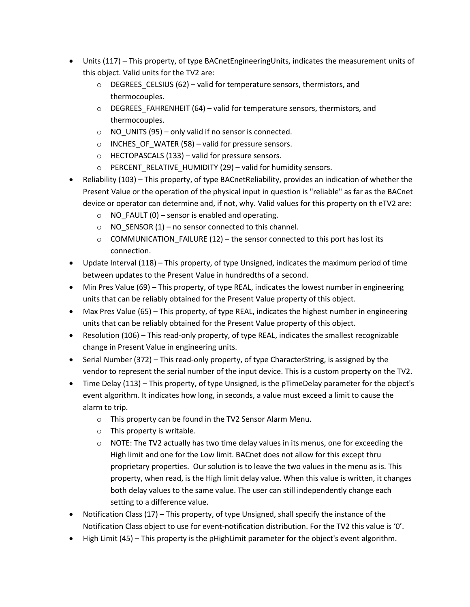- Units (117) This property, of type BACnetEngineeringUnits, indicates the measurement units of this object. Valid units for the TV2 are:
	- o DEGREES\_CELSIUS (62) valid for temperature sensors, thermistors, and thermocouples.
	- o DEGREES\_FAHRENHEIT (64) valid for temperature sensors, thermistors, and thermocouples.
	- $\circ$  NO UNITS (95) only valid if no sensor is connected.
	- $\circ$  INCHES OF WATER (58) valid for pressure sensors.
	- o HECTOPASCALS (133) valid for pressure sensors.
	- $\circ$  PERCENT\_RELATIVE\_HUMIDITY (29) valid for humidity sensors.
- Reliability (103) This property, of type BACnetReliability, provides an indication of whether the Present Value or the operation of the physical input in question is "reliable" as far as the BACnet device or operator can determine and, if not, why. Valid values for this property on th eTV2 are:
	- $\circ$  NO FAULT (0) sensor is enabled and operating.
	- $\circ$  NO\_SENSOR (1) no sensor connected to this channel.
	- $\circ$  COMMUNICATION\_FAILURE (12) the sensor connected to this port has lost its connection.
- Update Interval (118) This property, of type Unsigned, indicates the maximum period of time between updates to the Present Value in hundredths of a second.
- Min Pres Value (69) This property, of type REAL, indicates the lowest number in engineering units that can be reliably obtained for the Present Value property of this object.
- Max Pres Value (65) This property, of type REAL, indicates the highest number in engineering units that can be reliably obtained for the Present Value property of this object.
- Resolution (106) This read-only property, of type REAL, indicates the smallest recognizable change in Present Value in engineering units.
- Serial Number (372) This read-only property, of type CharacterString, is assigned by the vendor to represent the serial number of the input device. This is a custom property on the TV2.
- Time Delay (113) This property, of type Unsigned, is the pTimeDelay parameter for the object's event algorithm. It indicates how long, in seconds, a value must exceed a limit to cause the alarm to trip.
	- o This property can be found in the TV2 Sensor Alarm Menu.
	- o This property is writable.
	- $\circ$  NOTE: The TV2 actually has two time delay values in its menus, one for exceeding the High limit and one for the Low limit. BACnet does not allow for this except thru proprietary properties. Our solution is to leave the two values in the menu as is. This property, when read, is the High limit delay value. When this value is written, it changes both delay values to the same value. The user can still independently change each setting to a difference value.
- Notification Class (17) This property, of type Unsigned, shall specify the instance of the Notification Class object to use for event-notification distribution. For the TV2 this value is '0'.
- High Limit (45) This property is the pHighLimit parameter for the object's event algorithm.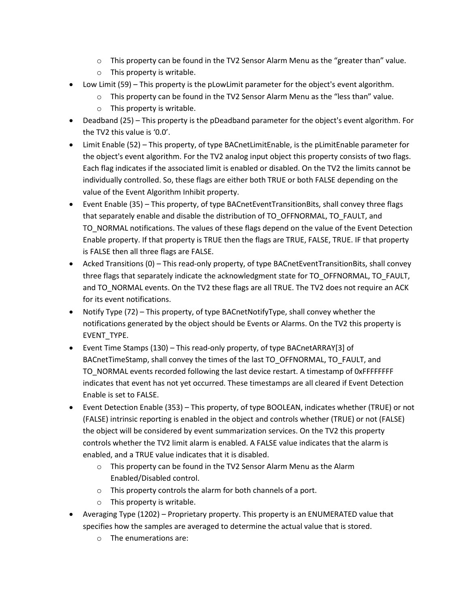- $\circ$  This property can be found in the TV2 Sensor Alarm Menu as the "greater than" value.
- o This property is writable.
- Low Limit (59) This property is the pLowLimit parameter for the object's event algorithm.
	- $\circ$  This property can be found in the TV2 Sensor Alarm Menu as the "less than" value.
	- o This property is writable.
- Deadband (25) This property is the pDeadband parameter for the object's event algorithm. For the TV2 this value is '0.0'.
- Limit Enable (52) This property, of type BACnetLimitEnable, is the pLimitEnable parameter for the object's event algorithm. For the TV2 analog input object this property consists of two flags. Each flag indicates if the associated limit is enabled or disabled. On the TV2 the limits cannot be individually controlled. So, these flags are either both TRUE or both FALSE depending on the value of the Event Algorithm Inhibit property.
- Event Enable (35) This property, of type BACnetEventTransitionBits, shall convey three flags that separately enable and disable the distribution of TO\_OFFNORMAL, TO\_FAULT, and TO NORMAL notifications. The values of these flags depend on the value of the Event Detection Enable property. If that property is TRUE then the flags are TRUE, FALSE, TRUE. IF that property is FALSE then all three flags are FALSE.
- Acked Transitions (0) This read-only property, of type BACnetEventTransitionBits, shall convey three flags that separately indicate the acknowledgment state for TO\_OFFNORMAL, TO\_FAULT, and TO\_NORMAL events. On the TV2 these flags are all TRUE. The TV2 does not require an ACK for its event notifications.
- Notify Type (72) This property, of type BACnetNotifyType, shall convey whether the notifications generated by the object should be Events or Alarms. On the TV2 this property is EVENT\_TYPE.
- Event Time Stamps (130) This read-only property, of type BACnetARRAY[3] of BACnetTimeStamp, shall convey the times of the last TO\_OFFNORMAL, TO\_FAULT, and TO\_NORMAL events recorded following the last device restart. A timestamp of 0xFFFFFFFF indicates that event has not yet occurred. These timestamps are all cleared if Event Detection Enable is set to FALSE.
- Event Detection Enable (353) This property, of type BOOLEAN, indicates whether (TRUE) or not (FALSE) intrinsic reporting is enabled in the object and controls whether (TRUE) or not (FALSE) the object will be considered by event summarization services. On the TV2 this property controls whether the TV2 limit alarm is enabled. A FALSE value indicates that the alarm is enabled, and a TRUE value indicates that it is disabled.
	- o This property can be found in the TV2 Sensor Alarm Menu as the Alarm Enabled/Disabled control.
	- o This property controls the alarm for both channels of a port.
	- o This property is writable.
- Averaging Type (1202) Proprietary property. This property is an ENUMERATED value that specifies how the samples are averaged to determine the actual value that is stored.
	- o The enumerations are: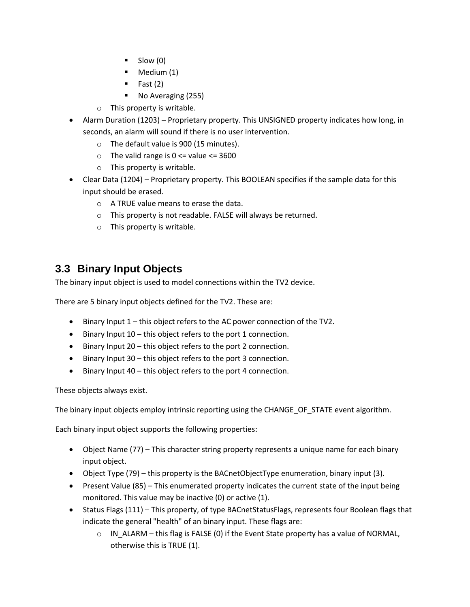- $\blacksquare$  Slow (0)
- Medium (1)
- Fast  $(2)$
- No Averaging (255)
- o This property is writable.
- Alarm Duration (1203) Proprietary property. This UNSIGNED property indicates how long, in seconds, an alarm will sound if there is no user intervention.
	- o The default value is 900 (15 minutes).
	- $\circ$  The valid range is  $0 \le$  value  $\le$  3600
	- o This property is writable.
- Clear Data (1204) Proprietary property. This BOOLEAN specifies if the sample data for this input should be erased.
	- o A TRUE value means to erase the data.
	- o This property is not readable. FALSE will always be returned.
	- o This property is writable.

### <span id="page-13-0"></span>**3.3 Binary Input Objects**

The binary input object is used to model connections within the TV2 device.

There are 5 binary input objects defined for the TV2. These are:

- Binary Input 1 this object refers to the AC power connection of the TV2.
- Binary Input 10 this object refers to the port 1 connection.
- Binary Input 20 this object refers to the port 2 connection.
- Binary Input 30 this object refers to the port 3 connection.
- Binary Input 40 this object refers to the port 4 connection.

These objects always exist.

The binary input objects employ intrinsic reporting using the CHANGE\_OF\_STATE event algorithm.

Each binary input object supports the following properties:

- Object Name (77) This character string property represents a unique name for each binary input object.
- Object Type (79) this property is the BACnetObjectType enumeration, binary input (3).
- Present Value (85) This enumerated property indicates the current state of the input being monitored. This value may be inactive (0) or active (1).
- Status Flags (111) This property, of type BACnetStatusFlags, represents four Boolean flags that indicate the general "health" of an binary input. These flags are:
	- $\circ$  IN\_ALARM this flag is FALSE (0) if the Event State property has a value of NORMAL, otherwise this is TRUE (1).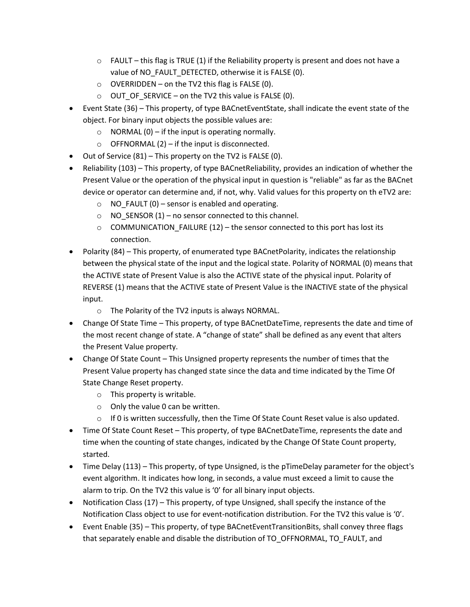- $\circ$  FAULT this flag is TRUE (1) if the Reliability property is present and does not have a value of NO\_FAULT\_DETECTED, otherwise it is FALSE (0).
- $\circ$  OVERRIDDEN on the TV2 this flag is FALSE (0).
- $\circ$  OUT\_OF\_SERVICE on the TV2 this value is FALSE (0).
- Event State (36) This property, of type BACnetEventState, shall indicate the event state of the object. For binary input objects the possible values are:
	- $\circ$  NORMAL (0) if the input is operating normally.
	- $\circ$  OFFNORMAL (2) if the input is disconnected.
- Out of Service (81) This property on the TV2 is FALSE (0).
- Reliability (103) This property, of type BACnetReliability, provides an indication of whether the Present Value or the operation of the physical input in question is "reliable" as far as the BACnet device or operator can determine and, if not, why. Valid values for this property on th eTV2 are:
	- $\circ$  NO FAULT (0) sensor is enabled and operating.
	- o NO\_SENSOR (1) no sensor connected to this channel.
	- $\circ$  COMMUNICATION\_FAILURE (12) the sensor connected to this port has lost its connection.
- Polarity (84) This property, of enumerated type BACnetPolarity, indicates the relationship between the physical state of the input and the logical state. Polarity of NORMAL (0) means that the ACTIVE state of Present Value is also the ACTIVE state of the physical input. Polarity of REVERSE (1) means that the ACTIVE state of Present Value is the INACTIVE state of the physical input.
	- o The Polarity of the TV2 inputs is always NORMAL.
- Change Of State Time This property, of type BACnetDateTime, represents the date and time of the most recent change of state. A "change of state" shall be defined as any event that alters the Present Value property.
- Change Of State Count This Unsigned property represents the number of times that the Present Value property has changed state since the data and time indicated by the Time Of State Change Reset property.
	- o This property is writable.
	- $\circ$  Only the value 0 can be written.
	- $\circ$  If 0 is written successfully, then the Time Of State Count Reset value is also updated.
- Time Of State Count Reset This property, of type BACnetDateTime, represents the date and time when the counting of state changes, indicated by the Change Of State Count property, started.
- Time Delay (113) This property, of type Unsigned, is the pTimeDelay parameter for the object's event algorithm. It indicates how long, in seconds, a value must exceed a limit to cause the alarm to trip. On the TV2 this value is '0' for all binary input objects.
- Notification Class (17) This property, of type Unsigned, shall specify the instance of the Notification Class object to use for event-notification distribution. For the TV2 this value is '0'.
- Event Enable (35) This property, of type BACnetEventTransitionBits, shall convey three flags that separately enable and disable the distribution of TO\_OFFNORMAL, TO\_FAULT, and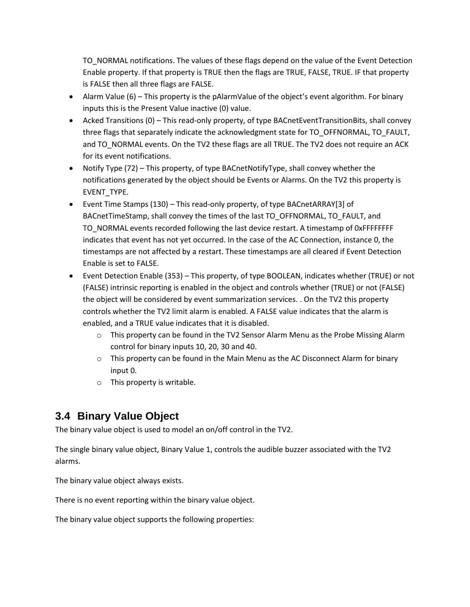TO NORMAL notifications. The values of these flags depend on the value of the Event Detection Enable property. If that property is TRUE then the flags are TRUE, FALSE, TRUE. IF that property is FALSE then all three flags are FALSE.

- Alarm Value (6) This property is the pAlarmValue of the object's event algorithm. For binary inputs this is the Present Value inactive (0) value.
- Acked Transitions (0) This read-only property, of type BACnetEventTransitionBits, shall convey three flags that separately indicate the acknowledgment state for TO\_OFFNORMAL, TO\_FAULT, and TO\_NORMAL events. On the TV2 these flags are all TRUE. The TV2 does not require an ACK for its event notifications.
- Notify Type (72) This property, of type BACnetNotifyType, shall convey whether the notifications generated by the object should be Events or Alarms. On the TV2 this property is EVENT\_TYPE.
- Event Time Stamps (130) This read-only property, of type BACnetARRAY[3] of BACnetTimeStamp, shall convey the times of the last TO\_OFFNORMAL, TO\_FAULT, and TO NORMAL events recorded following the last device restart. A timestamp of 0xFFFFFFFF indicates that event has not yet occurred. In the case of the AC Connection, instance 0, the timestamps are not affected by a restart. These timestamps are all cleared if Event Detection Enable is set to FALSE.
- Event Detection Enable (353) This property, of type BOOLEAN, indicates whether (TRUE) or not (FALSE) intrinsic reporting is enabled in the object and controls whether (TRUE) or not (FALSE) the object will be considered by event summarization services. . On the TV2 this property controls whether the TV2 limit alarm is enabled. A FALSE value indicates that the alarm is enabled, and a TRUE value indicates that it is disabled.
	- $\circ$  This property can be found in the TV2 Sensor Alarm Menu as the Probe Missing Alarm control for binary inputs 10, 20, 30 and 40.
	- $\circ$  This property can be found in the Main Menu as the AC Disconnect Alarm for binary input 0.
	- o This property is writable.

### <span id="page-15-0"></span>**3.4 Binary Value Object**

The binary value object is used to model an on/off control in the TV2.

The single binary value object, Binary Value 1, controls the audible buzzer associated with the TV2 alarms.

The binary value object always exists.

There is no event reporting within the binary value object.

The binary value object supports the following properties: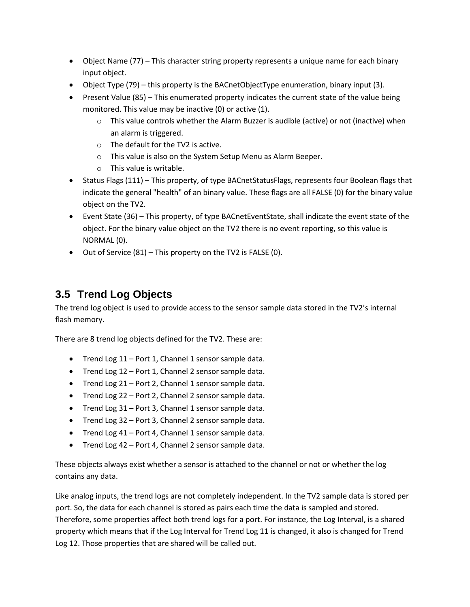- Object Name (77) This character string property represents a unique name for each binary input object.
- Object Type (79) this property is the BACnetObjectType enumeration, binary input (3).
- Present Value (85) This enumerated property indicates the current state of the value being monitored. This value may be inactive (0) or active (1).
	- $\circ$  This value controls whether the Alarm Buzzer is audible (active) or not (inactive) when an alarm is triggered.
	- o The default for the TV2 is active.
	- o This value is also on the System Setup Menu as Alarm Beeper.
	- o This value is writable.
- Status Flags (111) This property, of type BACnetStatusFlags, represents four Boolean flags that indicate the general "health" of an binary value. These flags are all FALSE (0) for the binary value object on the TV2.
- Event State (36) This property, of type BACnetEventState, shall indicate the event state of the object. For the binary value object on the TV2 there is no event reporting, so this value is NORMAL (0).
- Out of Service (81) This property on the TV2 is FALSE (0).

### <span id="page-16-0"></span>**3.5 Trend Log Objects**

The trend log object is used to provide access to the sensor sample data stored in the TV2's internal flash memory.

There are 8 trend log objects defined for the TV2. These are:

- Trend Log 11 Port 1, Channel 1 sensor sample data.
- Trend Log 12 Port 1, Channel 2 sensor sample data.
- Trend Log 21 Port 2, Channel 1 sensor sample data.
- Trend Log 22 Port 2, Channel 2 sensor sample data.
- Trend Log 31 Port 3, Channel 1 sensor sample data.
- Trend Log 32 Port 3, Channel 2 sensor sample data.
- Trend Log 41 Port 4, Channel 1 sensor sample data.
- Trend Log 42 Port 4, Channel 2 sensor sample data.

These objects always exist whether a sensor is attached to the channel or not or whether the log contains any data.

Like analog inputs, the trend logs are not completely independent. In the TV2 sample data is stored per port. So, the data for each channel is stored as pairs each time the data is sampled and stored. Therefore, some properties affect both trend logs for a port. For instance, the Log Interval, is a shared property which means that if the Log Interval for Trend Log 11 is changed, it also is changed for Trend Log 12. Those properties that are shared will be called out.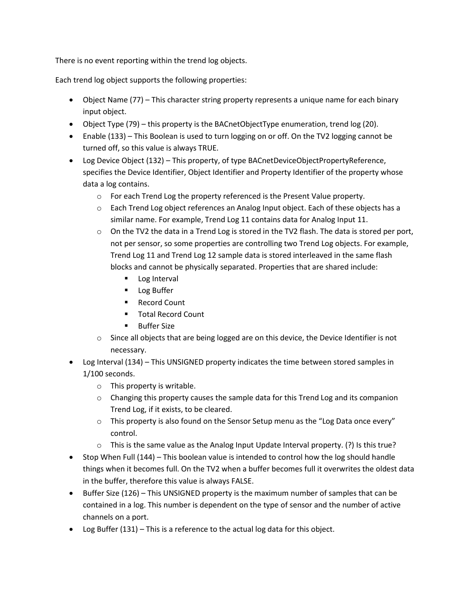There is no event reporting within the trend log objects.

Each trend log object supports the following properties:

- Object Name (77) This character string property represents a unique name for each binary input object.
- Object Type (79) this property is the BACnetObjectType enumeration, trend log (20).
- Enable (133) This Boolean is used to turn logging on or off. On the TV2 logging cannot be turned off, so this value is always TRUE.
- Log Device Object (132) This property, of type BACnetDeviceObjectPropertyReference, specifies the Device Identifier, Object Identifier and Property Identifier of the property whose data a log contains.
	- $\circ$  For each Trend Log the property referenced is the Present Value property.
	- $\circ$  Each Trend Log object references an Analog Input object. Each of these objects has a similar name. For example, Trend Log 11 contains data for Analog Input 11.
	- $\circ$  On the TV2 the data in a Trend Log is stored in the TV2 flash. The data is stored per port, not per sensor, so some properties are controlling two Trend Log objects. For example, Trend Log 11 and Trend Log 12 sample data is stored interleaved in the same flash blocks and cannot be physically separated. Properties that are shared include:
		- Log Interval
		- Log Buffer
		- Record Count
		- Total Record Count
		- Buffer Size
	- $\circ$  Since all objects that are being logged are on this device, the Device Identifier is not necessary.
- Log Interval (134) This UNSIGNED property indicates the time between stored samples in 1/100 seconds.
	- o This property is writable.
	- $\circ$  Changing this property causes the sample data for this Trend Log and its companion Trend Log, if it exists, to be cleared.
	- $\circ$  This property is also found on the Sensor Setup menu as the "Log Data once every" control.
	- o This is the same value as the Analog Input Update Interval property. (?) Is this true?
- Stop When Full (144) This boolean value is intended to control how the log should handle things when it becomes full. On the TV2 when a buffer becomes full it overwrites the oldest data in the buffer, therefore this value is always FALSE.
- Buffer Size (126) This UNSIGNED property is the maximum number of samples that can be contained in a log. This number is dependent on the type of sensor and the number of active channels on a port.
- Log Buffer (131) This is a reference to the actual log data for this object.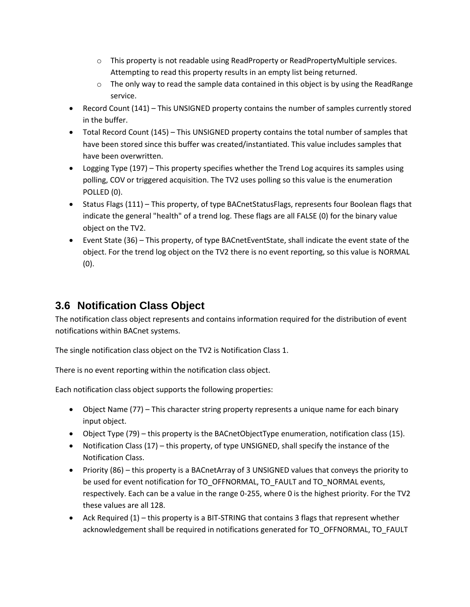- $\circ$  This property is not readable using ReadProperty or ReadPropertyMultiple services. Attempting to read this property results in an empty list being returned.
- $\circ$  The only way to read the sample data contained in this object is by using the ReadRange service.
- Record Count (141) This UNSIGNED property contains the number of samples currently stored in the buffer.
- Total Record Count (145) This UNSIGNED property contains the total number of samples that have been stored since this buffer was created/instantiated. This value includes samples that have been overwritten.
- Logging Type (197) This property specifies whether the Trend Log acquires its samples using polling, COV or triggered acquisition. The TV2 uses polling so this value is the enumeration POLLED (0).
- Status Flags (111) This property, of type BACnetStatusFlags, represents four Boolean flags that indicate the general "health" of a trend log. These flags are all FALSE (0) for the binary value object on the TV2.
- Event State (36) This property, of type BACnetEventState, shall indicate the event state of the object. For the trend log object on the TV2 there is no event reporting, so this value is NORMAL (0).

### <span id="page-18-0"></span>**3.6 Notification Class Object**

The notification class object represents and contains information required for the distribution of event notifications within BACnet systems.

The single notification class object on the TV2 is Notification Class 1.

There is no event reporting within the notification class object.

Each notification class object supports the following properties:

- Object Name (77) This character string property represents a unique name for each binary input object.
- Object Type (79) this property is the BACnetObjectType enumeration, notification class (15).
- Notification Class (17) this property, of type UNSIGNED, shall specify the instance of the Notification Class.
- Priority (86) this property is a BACnetArray of 3 UNSIGNED values that conveys the priority to be used for event notification for TO\_OFFNORMAL, TO\_FAULT and TO\_NORMAL events, respectively. Each can be a value in the range 0-255, where 0 is the highest priority. For the TV2 these values are all 128.
- Ack Required (1) this property is a BIT-STRING that contains 3 flags that represent whether acknowledgement shall be required in notifications generated for TO\_OFFNORMAL, TO\_FAULT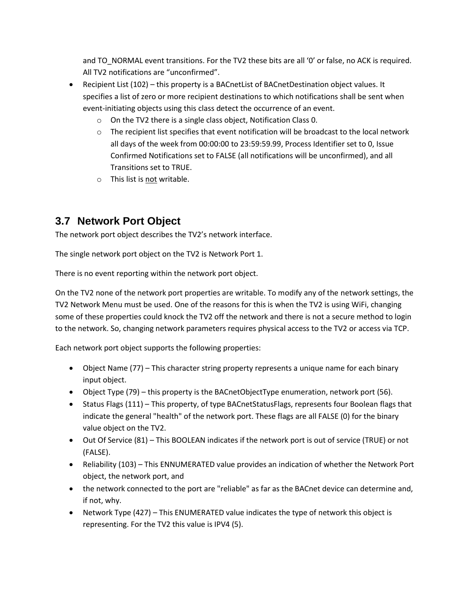and TO\_NORMAL event transitions. For the TV2 these bits are all '0' or false, no ACK is required. All TV2 notifications are "unconfirmed".

- Recipient List (102) this property is a BACnetList of BACnetDestination object values. It specifies a list of zero or more recipient destinations to which notifications shall be sent when event-initiating objects using this class detect the occurrence of an event.
	- o On the TV2 there is a single class object, Notification Class 0.
	- $\circ$  The recipient list specifies that event notification will be broadcast to the local network all days of the week from 00:00:00 to 23:59:59.99, Process Identifier set to 0, Issue Confirmed Notifications set to FALSE (all notifications will be unconfirmed), and all Transitions set to TRUE.
	- o This list is not writable.

### <span id="page-19-0"></span>**3.7 Network Port Object**

The network port object describes the TV2's network interface.

The single network port object on the TV2 is Network Port 1.

There is no event reporting within the network port object.

On the TV2 none of the network port properties are writable. To modify any of the network settings, the TV2 Network Menu must be used. One of the reasons for this is when the TV2 is using WiFi, changing some of these properties could knock the TV2 off the network and there is not a secure method to login to the network. So, changing network parameters requires physical access to the TV2 or access via TCP.

Each network port object supports the following properties:

- Object Name (77) This character string property represents a unique name for each binary input object.
- Object Type (79) this property is the BACnetObjectType enumeration, network port (56).
- Status Flags (111) This property, of type BACnetStatusFlags, represents four Boolean flags that indicate the general "health" of the network port. These flags are all FALSE (0) for the binary value object on the TV2.
- Out Of Service (81) This BOOLEAN indicates if the network port is out of service (TRUE) or not (FALSE).
- Reliability (103) This ENNUMERATED value provides an indication of whether the Network Port object, the network port, and
- the network connected to the port are "reliable" as far as the BACnet device can determine and, if not, why.
- Network Type (427) This ENUMERATED value indicates the type of network this object is representing. For the TV2 this value is IPV4 (5).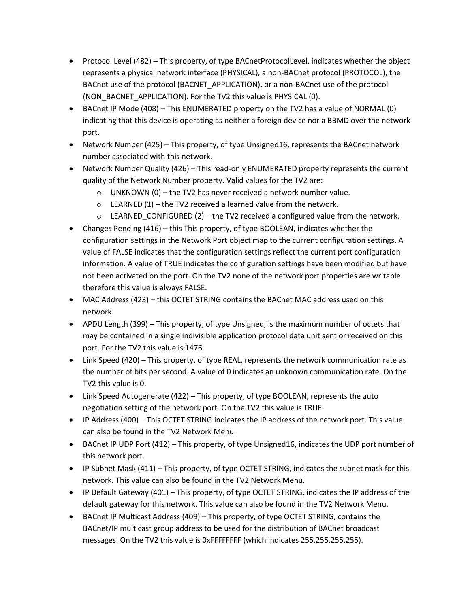- Protocol Level (482) This property, of type BACnetProtocolLevel, indicates whether the object represents a physical network interface (PHYSICAL), a non-BACnet protocol (PROTOCOL), the BACnet use of the protocol (BACNET\_APPLICATION), or a non-BACnet use of the protocol (NON\_BACNET\_APPLICATION). For the TV2 this value is PHYSICAL (0).
- BACnet IP Mode (408) This ENUMERATED property on the TV2 has a value of NORMAL (0) indicating that this device is operating as neither a foreign device nor a BBMD over the network port.
- Network Number (425) This property, of type Unsigned16, represents the BACnet network number associated with this network.
- Network Number Quality (426) This read-only ENUMERATED property represents the current quality of the Network Number property. Valid values for the TV2 are:
	- $\circ$  UNKNOWN (0) the TV2 has never received a network number value.
	- $\circ$  LEARNED (1) the TV2 received a learned value from the network.
	- $\circ$  LEARNED CONFIGURED (2) the TV2 received a configured value from the network.
- Changes Pending (416) this This property, of type BOOLEAN, indicates whether the configuration settings in the Network Port object map to the current configuration settings. A value of FALSE indicates that the configuration settings reflect the current port configuration information. A value of TRUE indicates the configuration settings have been modified but have not been activated on the port. On the TV2 none of the network port properties are writable therefore this value is always FALSE.
- MAC Address (423) this OCTET STRING contains the BACnet MAC address used on this network.
- APDU Length (399) This property, of type Unsigned, is the maximum number of octets that may be contained in a single indivisible application protocol data unit sent or received on this port. For the TV2 this value is 1476.
- Link Speed (420) This property, of type REAL, represents the network communication rate as the number of bits per second. A value of 0 indicates an unknown communication rate. On the TV2 this value is 0.
- Link Speed Autogenerate (422) This property, of type BOOLEAN, represents the auto negotiation setting of the network port. On the TV2 this value is TRUE.
- IP Address (400) This OCTET STRING indicates the IP address of the network port. This value can also be found in the TV2 Network Menu.
- BACnet IP UDP Port (412) This property, of type Unsigned16, indicates the UDP port number of this network port.
- IP Subnet Mask (411) This property, of type OCTET STRING, indicates the subnet mask for this network. This value can also be found in the TV2 Network Menu.
- IP Default Gateway (401) This property, of type OCTET STRING, indicates the IP address of the default gateway for this network. This value can also be found in the TV2 Network Menu.
- BACnet IP Multicast Address (409) This property, of type OCTET STRING, contains the BACnet/IP multicast group address to be used for the distribution of BACnet broadcast messages. On the TV2 this value is 0xFFFFFFFF (which indicates 255.255.255.255).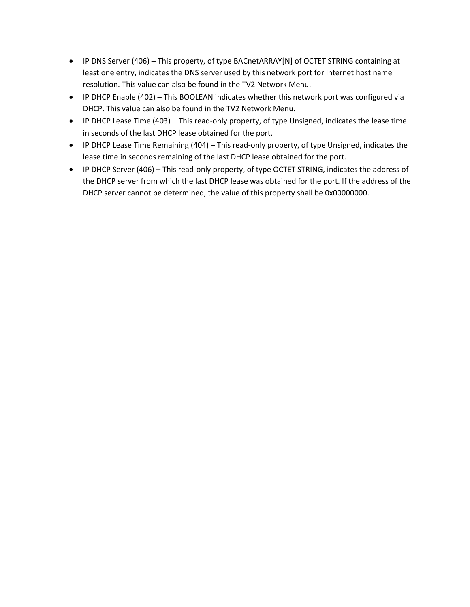- IP DNS Server (406) This property, of type BACnetARRAY[N] of OCTET STRING containing at least one entry, indicates the DNS server used by this network port for Internet host name resolution. This value can also be found in the TV2 Network Menu.
- IP DHCP Enable (402) This BOOLEAN indicates whether this network port was configured via DHCP. This value can also be found in the TV2 Network Menu.
- IP DHCP Lease Time (403) This read-only property, of type Unsigned, indicates the lease time in seconds of the last DHCP lease obtained for the port.
- IP DHCP Lease Time Remaining (404) This read-only property, of type Unsigned, indicates the lease time in seconds remaining of the last DHCP lease obtained for the port.
- IP DHCP Server (406) This read-only property, of type OCTET STRING, indicates the address of the DHCP server from which the last DHCP lease was obtained for the port. If the address of the DHCP server cannot be determined, the value of this property shall be 0x00000000.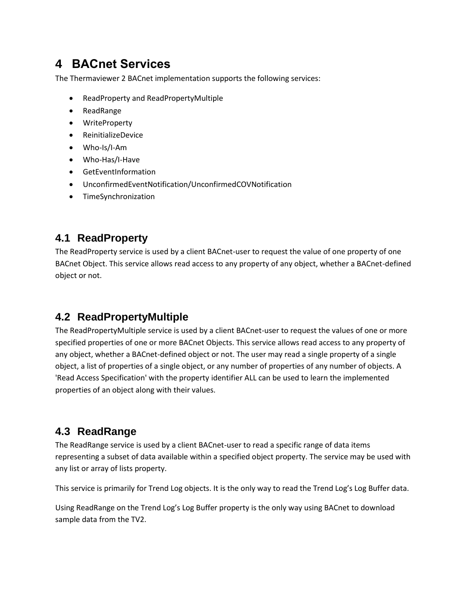## <span id="page-22-0"></span>**4 BACnet Services**

The Thermaviewer 2 BACnet implementation supports the following services:

- ReadProperty and ReadPropertyMultiple
- ReadRange
- WriteProperty
- ReinitializeDevice
- Who-Is/I-Am
- Who-Has/I-Have
- GetEventInformation
- UnconfirmedEventNotification/UnconfirmedCOVNotification
- TimeSynchronization

#### <span id="page-22-1"></span>**4.1 ReadProperty**

The ReadProperty service is used by a client BACnet-user to request the value of one property of one BACnet Object. This service allows read access to any property of any object, whether a BACnet-defined object or not.

### <span id="page-22-2"></span>**4.2 ReadPropertyMultiple**

The ReadPropertyMultiple service is used by a client BACnet-user to request the values of one or more specified properties of one or more BACnet Objects. This service allows read access to any property of any object, whether a BACnet-defined object or not. The user may read a single property of a single object, a list of properties of a single object, or any number of properties of any number of objects. A 'Read Access Specification' with the property identifier ALL can be used to learn the implemented properties of an object along with their values.

### <span id="page-22-3"></span>**4.3 ReadRange**

The ReadRange service is used by a client BACnet-user to read a specific range of data items representing a subset of data available within a specified object property. The service may be used with any list or array of lists property.

This service is primarily for Trend Log objects. It is the only way to read the Trend Log's Log Buffer data.

Using ReadRange on the Trend Log's Log Buffer property is the only way using BACnet to download sample data from the TV2.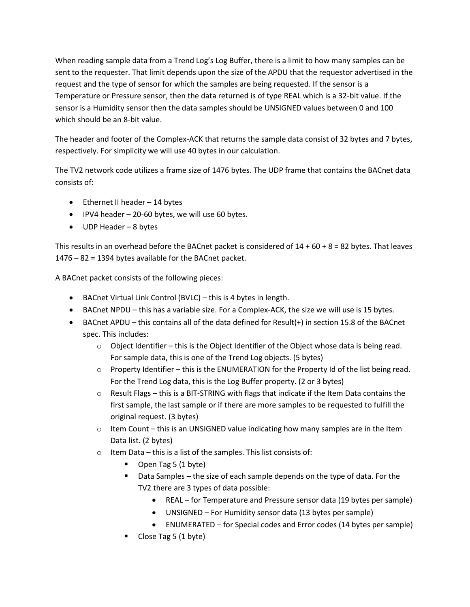When reading sample data from a Trend Log's Log Buffer, there is a limit to how many samples can be sent to the requester. That limit depends upon the size of the APDU that the requestor advertised in the request and the type of sensor for which the samples are being requested. If the sensor is a Temperature or Pressure sensor, then the data returned is of type REAL which is a 32-bit value. If the sensor is a Humidity sensor then the data samples should be UNSIGNED values between 0 and 100 which should be an 8-bit value.

The header and footer of the Complex-ACK that returns the sample data consist of 32 bytes and 7 bytes, respectively. For simplicity we will use 40 bytes in our calculation.

The TV2 network code utilizes a frame size of 1476 bytes. The UDP frame that contains the BACnet data consists of:

- Ethernet II header 14 bytes
- IPV4 header 20-60 bytes, we will use 60 bytes.
- UDP Header 8 bytes

This results in an overhead before the BACnet packet is considered of  $14 + 60 + 8 = 82$  bytes. That leaves 1476 – 82 = 1394 bytes available for the BACnet packet.

A BACnet packet consists of the following pieces:

- BACnet Virtual Link Control (BVLC) this is 4 bytes in length.
- BACnet NPDU this has a variable size. For a Complex-ACK, the size we will use is 15 bytes.
- BACnet APDU this contains all of the data defined for Result(+) in section 15.8 of the BACnet spec. This includes:
	- $\circ$  Object Identifier this is the Object Identifier of the Object whose data is being read. For sample data, this is one of the Trend Log objects. (5 bytes)
	- $\circ$  Property Identifier this is the ENUMERATION for the Property Id of the list being read. For the Trend Log data, this is the Log Buffer property. (2 or 3 bytes)
	- $\circ$  Result Flags this is a BIT-STRING with flags that indicate if the Item Data contains the first sample, the last sample or if there are more samples to be requested to fulfill the original request. (3 bytes)
	- $\circ$  Item Count this is an UNSIGNED value indicating how many samples are in the Item Data list. (2 bytes)
	- $\circ$  Item Data this is a list of the samples. This list consists of:
		- Open Tag 5 (1 byte)
		- Data Samples the size of each sample depends on the type of data. For the TV2 there are 3 types of data possible:
			- REAL for Temperature and Pressure sensor data (19 bytes per sample)
			- UNSIGNED For Humidity sensor data (13 bytes per sample)
			- ENUMERATED for Special codes and Error codes (14 bytes per sample)
		- Close Tag 5 (1 byte)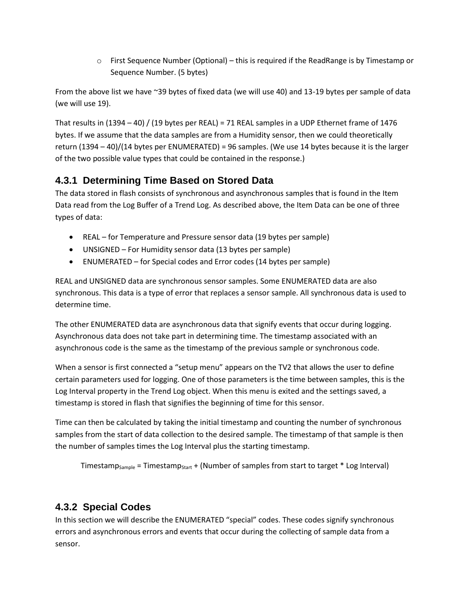$\circ$  First Sequence Number (Optional) – this is required if the ReadRange is by Timestamp or Sequence Number. (5 bytes)

From the above list we have ~39 bytes of fixed data (we will use 40) and 13-19 bytes per sample of data (we will use 19).

That results in  $(1394 - 40)$  /  $(19$  bytes per REAL) = 71 REAL samples in a UDP Ethernet frame of 1476 bytes. If we assume that the data samples are from a Humidity sensor, then we could theoretically return (1394 – 40)/(14 bytes per ENUMERATED) = 96 samples. (We use 14 bytes because it is the larger of the two possible value types that could be contained in the response.)

### <span id="page-24-0"></span>**4.3.1 Determining Time Based on Stored Data**

The data stored in flash consists of synchronous and asynchronous samples that is found in the Item Data read from the Log Buffer of a Trend Log. As described above, the Item Data can be one of three types of data:

- REAL for Temperature and Pressure sensor data (19 bytes per sample)
- UNSIGNED For Humidity sensor data (13 bytes per sample)
- ENUMERATED for Special codes and Error codes (14 bytes per sample)

REAL and UNSIGNED data are synchronous sensor samples. Some ENUMERATED data are also synchronous. This data is a type of error that replaces a sensor sample. All synchronous data is used to determine time.

The other ENUMERATED data are asynchronous data that signify events that occur during logging. Asynchronous data does not take part in determining time. The timestamp associated with an asynchronous code is the same as the timestamp of the previous sample or synchronous code.

When a sensor is first connected a "setup menu" appears on the TV2 that allows the user to define certain parameters used for logging. One of those parameters is the time between samples, this is the Log Interval property in the Trend Log object. When this menu is exited and the settings saved, a timestamp is stored in flash that signifies the beginning of time for this sensor.

Time can then be calculated by taking the initial timestamp and counting the number of synchronous samples from the start of data collection to the desired sample. The timestamp of that sample is then the number of samples times the Log Interval plus the starting timestamp.

```
Timestamp<sub>Sample</sub> = Timestamp<sub>Start</sub> + (Number of samples from start to target * Log Interval)
```
#### <span id="page-24-1"></span>**4.3.2 Special Codes**

In this section we will describe the ENUMERATED "special" codes. These codes signify synchronous errors and asynchronous errors and events that occur during the collecting of sample data from a sensor.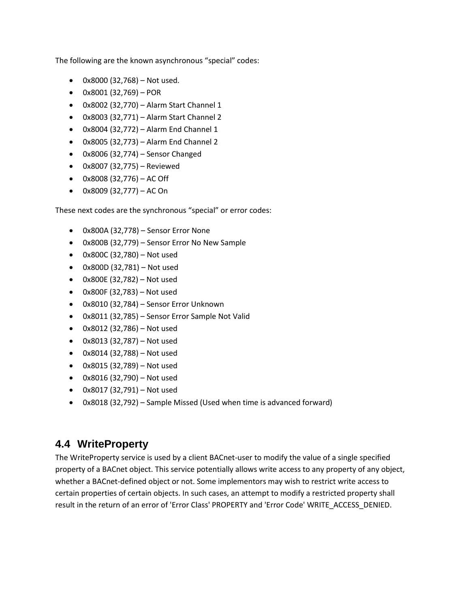The following are the known asynchronous "special" codes:

- 0x8000 (32,768) Not used.
- 0x8001 (32,769) POR
- 0x8002 (32,770) Alarm Start Channel 1
- 0x8003 (32,771) Alarm Start Channel 2
- 0x8004 (32,772) Alarm End Channel 1
- 0x8005 (32,773) Alarm End Channel 2
- 0x8006 (32,774) Sensor Changed
- 0x8007 (32,775) Reviewed
- $0x8008(32,776) AC$  Off
- $0x8009(32,777) AC On$

These next codes are the synchronous "special" or error codes:

- 0x800A (32,778) Sensor Error None
- 0x800B (32,779) Sensor Error No New Sample
- 0x800C (32,780) Not used
- 0x800D (32,781) Not used
- 0x800E (32,782) Not used
- 0x800F (32,783) Not used
- 0x8010 (32,784) Sensor Error Unknown
- 0x8011 (32,785) Sensor Error Sample Not Valid
- 0x8012 (32,786) Not used
- 0x8013 (32,787) Not used
- 0x8014 (32,788) Not used
- 0x8015 (32,789) Not used
- 0x8016 (32,790) Not used
- 0x8017 (32,791) Not used
- 0x8018 (32,792) Sample Missed (Used when time is advanced forward)

#### <span id="page-25-0"></span>**4.4 WriteProperty**

The WriteProperty service is used by a client BACnet-user to modify the value of a single specified property of a BACnet object. This service potentially allows write access to any property of any object, whether a BACnet-defined object or not. Some implementors may wish to restrict write access to certain properties of certain objects. In such cases, an attempt to modify a restricted property shall result in the return of an error of 'Error Class' PROPERTY and 'Error Code' WRITE\_ACCESS\_DENIED.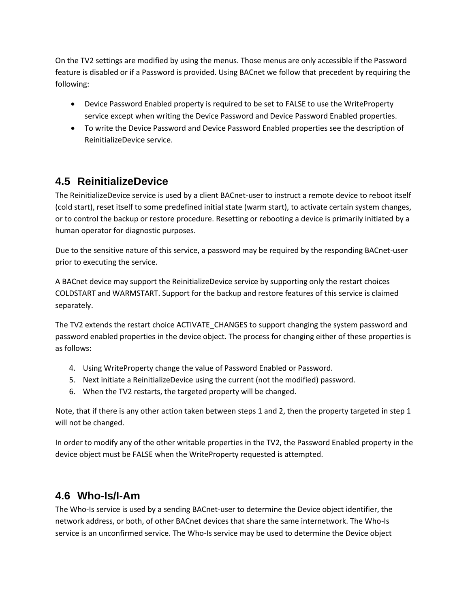On the TV2 settings are modified by using the menus. Those menus are only accessible if the Password feature is disabled or if a Password is provided. Using BACnet we follow that precedent by requiring the following:

- Device Password Enabled property is required to be set to FALSE to use the WriteProperty service except when writing the Device Password and Device Password Enabled properties.
- To write the Device Password and Device Password Enabled properties see the description of ReinitializeDevice service.

### <span id="page-26-0"></span>**4.5 ReinitializeDevice**

The ReinitializeDevice service is used by a client BACnet-user to instruct a remote device to reboot itself (cold start), reset itself to some predefined initial state (warm start), to activate certain system changes, or to control the backup or restore procedure. Resetting or rebooting a device is primarily initiated by a human operator for diagnostic purposes.

Due to the sensitive nature of this service, a password may be required by the responding BACnet-user prior to executing the service.

A BACnet device may support the ReinitializeDevice service by supporting only the restart choices COLDSTART and WARMSTART. Support for the backup and restore features of this service is claimed separately.

The TV2 extends the restart choice ACTIVATE\_CHANGES to support changing the system password and password enabled properties in the device object. The process for changing either of these properties is as follows:

- 4. Using WriteProperty change the value of Password Enabled or Password.
- 5. Next initiate a ReinitializeDevice using the current (not the modified) password.
- 6. When the TV2 restarts, the targeted property will be changed.

Note, that if there is any other action taken between steps 1 and 2, then the property targeted in step 1 will not be changed.

In order to modify any of the other writable properties in the TV2, the Password Enabled property in the device object must be FALSE when the WriteProperty requested is attempted.

### <span id="page-26-1"></span>**4.6 Who-Is/I-Am**

The Who-Is service is used by a sending BACnet-user to determine the Device object identifier, the network address, or both, of other BACnet devices that share the same internetwork. The Who-Is service is an unconfirmed service. The Who-Is service may be used to determine the Device object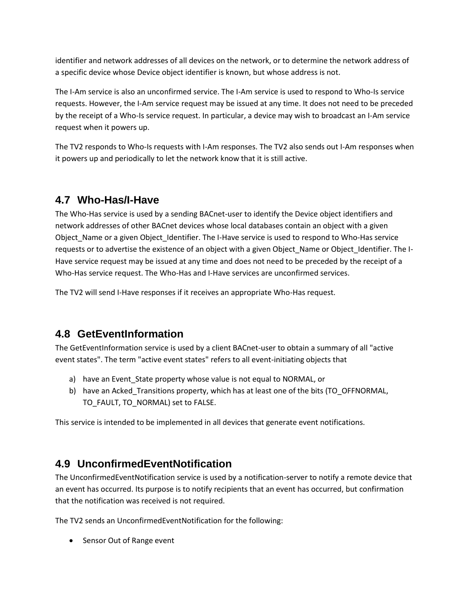identifier and network addresses of all devices on the network, or to determine the network address of a specific device whose Device object identifier is known, but whose address is not.

The I-Am service is also an unconfirmed service. The I-Am service is used to respond to Who-Is service requests. However, the I-Am service request may be issued at any time. It does not need to be preceded by the receipt of a Who-Is service request. In particular, a device may wish to broadcast an I-Am service request when it powers up.

The TV2 responds to Who-Is requests with I-Am responses. The TV2 also sends out I-Am responses when it powers up and periodically to let the network know that it is still active.

### <span id="page-27-0"></span>**4.7 Who-Has/I-Have**

The Who-Has service is used by a sending BACnet-user to identify the Device object identifiers and network addresses of other BACnet devices whose local databases contain an object with a given Object\_Name or a given Object\_Identifier. The I-Have service is used to respond to Who-Has service requests or to advertise the existence of an object with a given Object Name or Object Identifier. The I-Have service request may be issued at any time and does not need to be preceded by the receipt of a Who-Has service request. The Who-Has and I-Have services are unconfirmed services.

The TV2 will send I-Have responses if it receives an appropriate Who-Has request.

### <span id="page-27-1"></span>**4.8 GetEventInformation**

The GetEventInformation service is used by a client BACnet-user to obtain a summary of all "active event states". The term "active event states" refers to all event-initiating objects that

- a) have an Event\_State property whose value is not equal to NORMAL, or
- b) have an Acked\_Transitions property, which has at least one of the bits (TO\_OFFNORMAL, TO\_FAULT, TO\_NORMAL) set to FALSE.

This service is intended to be implemented in all devices that generate event notifications.

### <span id="page-27-2"></span>**4.9 UnconfirmedEventNotification**

The UnconfirmedEventNotification service is used by a notification-server to notify a remote device that an event has occurred. Its purpose is to notify recipients that an event has occurred, but confirmation that the notification was received is not required.

The TV2 sends an UnconfirmedEventNotification for the following:

• Sensor Out of Range event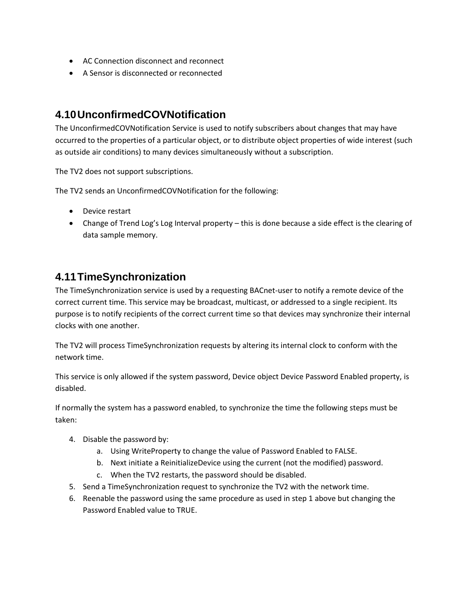- AC Connection disconnect and reconnect
- A Sensor is disconnected or reconnected

#### <span id="page-28-0"></span>**4.10UnconfirmedCOVNotification**

The UnconfirmedCOVNotification Service is used to notify subscribers about changes that may have occurred to the properties of a particular object, or to distribute object properties of wide interest (such as outside air conditions) to many devices simultaneously without a subscription.

The TV2 does not support subscriptions.

The TV2 sends an UnconfirmedCOVNotification for the following:

- Device restart
- Change of Trend Log's Log Interval property this is done because a side effect is the clearing of data sample memory.

### <span id="page-28-1"></span>**4.11TimeSynchronization**

The TimeSynchronization service is used by a requesting BACnet-user to notify a remote device of the correct current time. This service may be broadcast, multicast, or addressed to a single recipient. Its purpose is to notify recipients of the correct current time so that devices may synchronize their internal clocks with one another.

The TV2 will process TimeSynchronization requests by altering its internal clock to conform with the network time.

This service is only allowed if the system password, Device object Device Password Enabled property, is disabled.

If normally the system has a password enabled, to synchronize the time the following steps must be taken:

- 4. Disable the password by:
	- a. Using WriteProperty to change the value of Password Enabled to FALSE.
	- b. Next initiate a ReinitializeDevice using the current (not the modified) password.
	- c. When the TV2 restarts, the password should be disabled.
- 5. Send a TimeSynchronization request to synchronize the TV2 with the network time.
- 6. Reenable the password using the same procedure as used in step 1 above but changing the Password Enabled value to TRUE.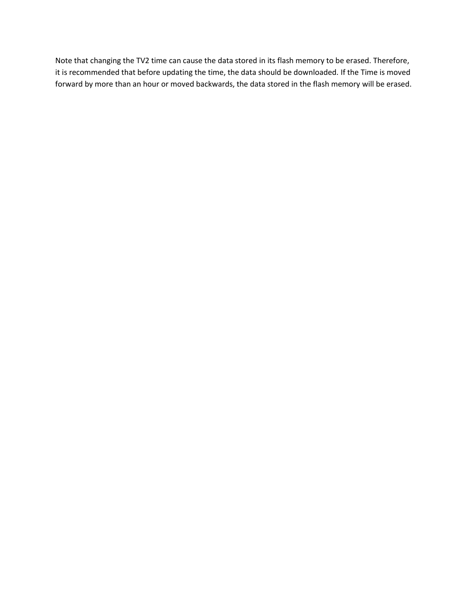Note that changing the TV2 time can cause the data stored in its flash memory to be erased. Therefore, it is recommended that before updating the time, the data should be downloaded. If the Time is moved forward by more than an hour or moved backwards, the data stored in the flash memory will be erased.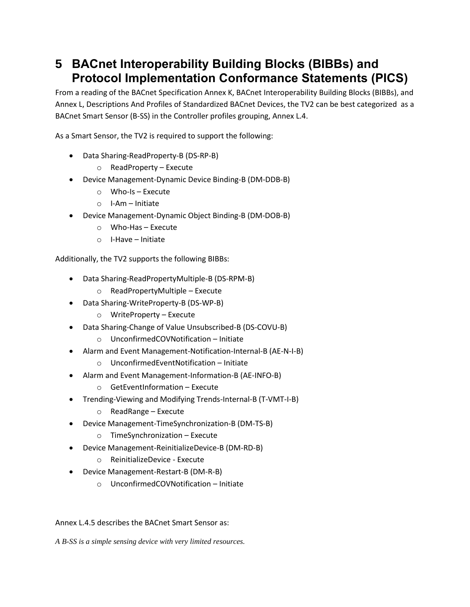## <span id="page-30-0"></span>**5 BACnet Interoperability Building Blocks (BIBBs) and Protocol Implementation Conformance Statements (PICS)**

From a reading of the BACnet Specification Annex K, BACnet Interoperability Building Blocks (BIBBs), and Annex L, Descriptions And Profiles of Standardized BACnet Devices, the TV2 can be best categorized as a BACnet Smart Sensor (B-SS) in the Controller profiles grouping, Annex L.4.

As a Smart Sensor, the TV2 is required to support the following:

- Data Sharing-ReadProperty-B (DS-RP-B)
	- o ReadProperty Execute
- Device Management-Dynamic Device Binding-B (DM-DDB-B)
	- o Who-Is Execute
	- o I-Am Initiate
- Device Management-Dynamic Object Binding-B (DM-DOB-B)
	- o Who-Has Execute
	- o I-Have Initiate

Additionally, the TV2 supports the following BIBBs:

- Data Sharing-ReadPropertyMultiple-B (DS-RPM-B)
	- o ReadPropertyMultiple Execute
- Data Sharing-WriteProperty-B (DS-WP-B)
	- o WriteProperty Execute
- Data Sharing-Change of Value Unsubscribed-B (DS-COVU-B)
	- o UnconfirmedCOVNotification Initiate
- Alarm and Event Management-Notification-Internal-B (AE-N-I-B)
	- o UnconfirmedEventNotification Initiate
- Alarm and Event Management-Information-B (AE-INFO-B)
	- o GetEventInformation Execute
- Trending-Viewing and Modifying Trends-Internal-B (T-VMT-I-B)
	- o ReadRange Execute
- Device Management-TimeSynchronization-B (DM-TS-B)
	- o TimeSynchronization Execute
- Device Management-ReinitializeDevice-B (DM-RD-B)
	- o ReinitializeDevice Execute
- Device Management-Restart-B (DM-R-B)
	- o UnconfirmedCOVNotification Initiate

#### Annex L.4.5 describes the BACnet Smart Sensor as:

*A B-SS is a simple sensing device with very limited resources.*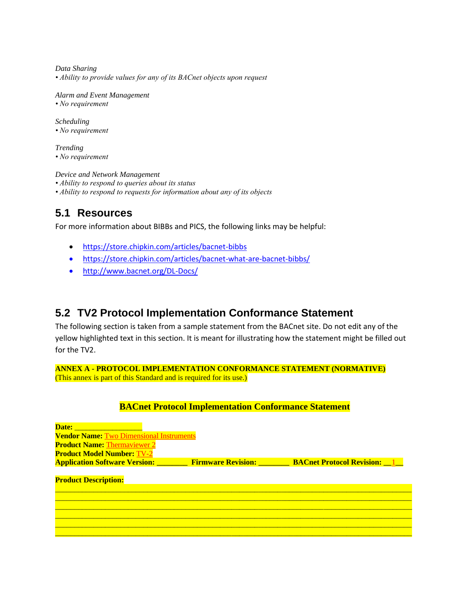*Data Sharing • Ability to provide values for any of its BACnet objects upon request*

*Alarm and Event Management • No requirement*

*Scheduling • No requirement*

*Trending • No requirement*

*Device and Network Management*

*• Ability to respond to queries about its status*

*• Ability to respond to requests for information about any of its objects*

#### <span id="page-31-0"></span>**5.1 Resources**

For more information about BIBBs and PICS, the following links may be helpful:

- <https://store.chipkin.com/articles/bacnet-bibbs>
- <https://store.chipkin.com/articles/bacnet-what-are-bacnet-bibbs/>
- http://www.bacnet.org/DL-Docs/

#### <span id="page-31-1"></span>**5.2 TV2 Protocol Implementation Conformance Statement**

The following section is taken from a sample statement from the BACnet site. Do not edit any of the yellow highlighted text in this section. It is meant for illustrating how the statement might be filled out for the TV2.

**ANNEX A - PROTOCOL IMPLEMENTATION CONFORMANCE STATEMENT (NORMATIVE)** (This annex is part of this Standard and is required for its use.)

#### **BACnet Protocol Implementation Conformance Statement**

| Date:                                           |  |                                                                                     |  |  |  |
|-------------------------------------------------|--|-------------------------------------------------------------------------------------|--|--|--|
| <b>Vendor Name: Two Dimensional Instruments</b> |  |                                                                                     |  |  |  |
| <b>Product Name: Thermaviewer 2</b>             |  |                                                                                     |  |  |  |
| <b>Product Model Number: TV-2</b>               |  |                                                                                     |  |  |  |
|                                                 |  | <b>Application Software Version:</b> Firmware Revision: BACnet Protocol Revision: 1 |  |  |  |
| <b>Product Description:</b>                     |  |                                                                                     |  |  |  |
|                                                 |  |                                                                                     |  |  |  |
|                                                 |  |                                                                                     |  |  |  |
|                                                 |  |                                                                                     |  |  |  |
|                                                 |  |                                                                                     |  |  |  |
|                                                 |  |                                                                                     |  |  |  |
|                                                 |  |                                                                                     |  |  |  |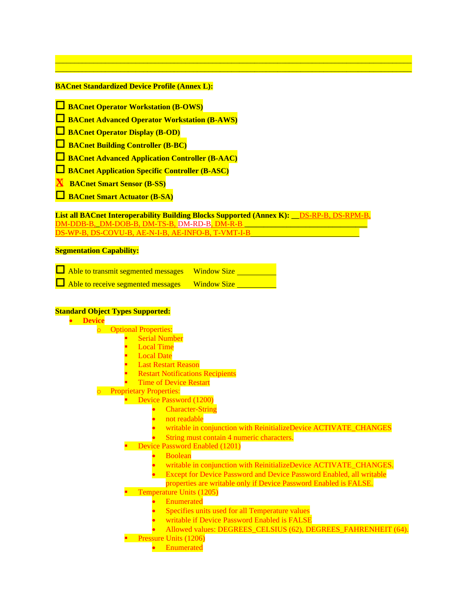#### **BACnet Standardized Device Profile (Annex L):**

- **BACnet Operator Workstation (B-OWS)**
- **BACnet Advanced Operator Workstation (B-AWS)**
- **BACnet Operator Display (B-OD)**
- **BACnet Building Controller (B-BC)**
- **BACnet Advanced Application Controller (B-AAC)**
- **BACnet Application Specific Controller (B-ASC)**
- **X BACnet Smart Sensor (B-SS)**
- **BACnet Smart Actuator (B-SA)**

**List all BACnet Interoperability Building Blocks Supported (Annex K): \_\_**DS-RP-B, DS-RPM-B, DM-DDB-B,**\_**DM-DOB-B, DM-TS-B, DM-RD-B, DM-R-B **\_\_\_\_\_\_\_\_\_\_\_\_\_\_\_\_\_\_\_\_\_\_\_\_\_\_\_\_\_\_\_\_** WP-B, DS-COVU-B, AE-N-I-B, AE-INFO-B, T-VMT-I-B

 $\mathcal{L}_\mathcal{L} = \{ \mathcal{L}_\mathcal{L} = \{ \mathcal{L}_\mathcal{L} = \{ \mathcal{L}_\mathcal{L} = \{ \mathcal{L}_\mathcal{L} = \{ \mathcal{L}_\mathcal{L} = \{ \mathcal{L}_\mathcal{L} = \{ \mathcal{L}_\mathcal{L} = \{ \mathcal{L}_\mathcal{L} = \{ \mathcal{L}_\mathcal{L} = \{ \mathcal{L}_\mathcal{L} = \{ \mathcal{L}_\mathcal{L} = \{ \mathcal{L}_\mathcal{L} = \{ \mathcal{L}_\mathcal{L} = \{ \mathcal{L}_\mathcal{$ \_\_\_\_\_\_\_\_\_\_\_\_\_\_\_\_\_\_\_\_\_\_\_\_\_\_\_\_\_\_\_\_\_\_\_\_\_\_\_\_\_\_\_\_\_\_\_\_\_\_\_\_\_\_\_\_\_\_\_\_\_\_\_\_\_\_\_\_\_\_\_\_\_\_\_\_\_\_\_\_\_\_\_\_\_\_\_\_\_\_\_\_\_

#### **Segmentation Capability:**

 Able to transmit segmented messages Window Size  $\Box$  Able to receive segmented messages Window Size

#### **Standard Object Types Supported:**

| <b>Device</b>                                                               |
|-----------------------------------------------------------------------------|
| <b>Optional Properties:</b><br>$\overline{\mathsf{C}}$                      |
| <b>Serial Number</b>                                                        |
| <b>Local Time</b>                                                           |
| <b>Local Date</b>                                                           |
| <b>Last Restart Reason</b>                                                  |
| <b>Restart Notifications Recipients</b>                                     |
| <b>Time of Device Restart</b>                                               |
| <b>Proprietary Properties:</b><br>$\circ$                                   |
| Device Password (1200)                                                      |
| <b>Character-String</b>                                                     |
| not readable                                                                |
| writable in conjunction with ReinitializeDevice ACTIVATE_CHANGES            |
| String must contain 4 numeric characters.                                   |
| <b>Device Password Enabled (1201)</b>                                       |
| <b>Boolean</b>                                                              |
| writable in conjunction with ReinitializeDevice ACTIVATE_CHANGES.           |
| <b>Except for Device Password and Device Password Enabled, all writable</b> |
| properties are writable only if Device Password Enabled is FALSE.           |
| <b>Temperature Units (1205)</b>                                             |
| Enumerated                                                                  |
| Specifies units used for all Temperature values                             |
| writable if Device Password Enabled is FALSE                                |
| Allowed values: DEGREES_CELSIUS (62), DEGREES_FAHRENHEIT (64).              |
| Pressure Units (1206)                                                       |
| Enumerated                                                                  |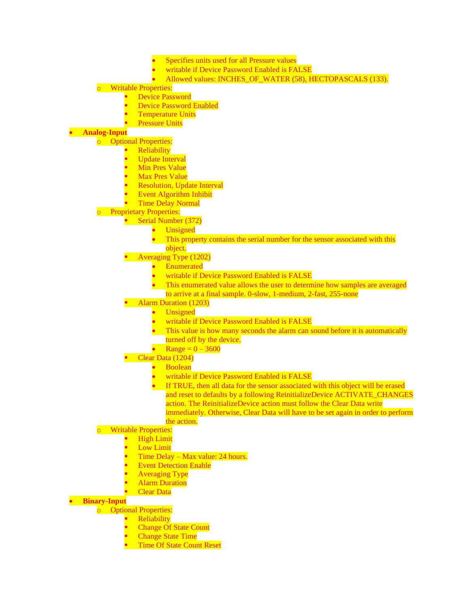- Specifies units used for all Pressure values
- writable if Device Password Enabled is FALSE
- Allowed values: INCHES\_OF\_WATER (58), HECTOPASCALS (133).

#### **Writable Properties:**

- **Device Password** 
	- **Device Password Enabled**
	- **Temperature Units**
	- **Pressure Units**

#### • **Analog-Input**

o Optional Properties:

- **Reliability**
- **Update Interval**
- **Min Pres Value**
- **Max Pres Value**
- **Resolution, Update Interval**
- **Event Algorithm Inhibit**
- **Time Delay Normal**

#### o Proprietary Properties:

■ Serial Number (372)

- **Unsigned**
- This property contains the serial number for the sensor associated with this object.
- **Example 2** Averaging Type (1202)
	- **Enumerated**
	- writable if Device Password Enabled is FALSE
	- This enumerated value allows the user to determine how samples are averaged to arrive at a final sample. 0-slow, 1-medium, 2-fast, 255-none
- Alarm Duration (1203)
	- **Unsigned**
	- writable if Device Password Enabled is FALSE
	- This value is how many seconds the alarm can sound before it is automatically turned off by the device.
	- Range =  $0 3600$
- $\bullet$  Clear Data (1204)
	- Boolean
	- writable if Device Password Enabled is FALSE
	- If TRUE, then all data for the sensor associated with this object will be erased and reset to defaults by a following ReinitializeDevice ACTIVATE\_CHANGES action. The ReinitializeDevice action must follow the Clear Data write immediately. Otherwise, Clear Data will have to be set again in order to perform the action.

#### **Writable Properties:**

- **High Limit**
- **Low Limit**
- Time Delay Max value: 24 hours.
- **Event Detection Enable**
- **Averaging Type**
- **Alarm Duration**
- **Clear Data**

#### • **Binary-Input**

- o Optional Properties:
	- **Reliability**
	- **Change Of State Count**
	- **Change State Time**
	- **Time Of State Count Reset**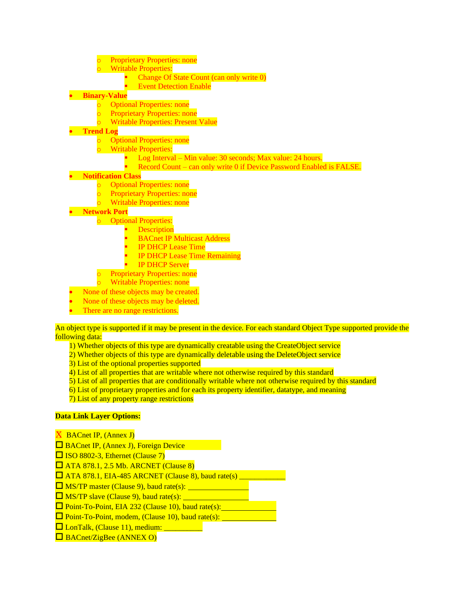- **Proprietary Properties: none**
- **Writable Properties:** 
	- Change Of State Count (can only write 0)
	- **Event Detection Enable**

#### • **Binary-Value**

- o Optional Properties: none
- o Proprietary Properties: none
- o Writable Properties: Present Value

#### • **Trend Log**

- o Optional Properties: none
- o Writable Properties:
	- Log Interval Min value: 30 seconds; Max value: 24 hours.
	- Record Count can only write 0 if Device Password Enabled is FALSE.

#### • **Notification Class**

- o Optional Properties: none
- o Proprietary Properties: none
- o Writable Properties: none
- **Network Port**
	- o Optional Properties:
		- **E** Description
		- **BACnet IP Multicast Address**
		- **IP DHCP Lease Time**
		- **IP DHCP Lease Time Remaining**
		- **IP DHCP Server**
	- **Proprietary Properties: none**
	- o Writable Properties: none
- None of these objects may be created.
- None of these objects may be deleted.
- There are no range restrictions.

An object type is supported if it may be present in the device. For each standard Object Type supported provide the following data:

- 1) Whether objects of this type are dynamically creatable using the CreateObject service
- 2) Whether objects of this type are dynamically deletable using the DeleteObject service
- 3) List of the optional properties supported
- 4) List of all properties that are writable where not otherwise required by this standard
- 5) List of all properties that are conditionally writable where not otherwise required by this standard
- 6) List of proprietary properties and for each its property identifier, datatype, and meaning
- 7) List of any property range restrictions

#### **Data Link Layer Options:**

- **X** BACnet IP, (Annex J)
- **□** BACnet IP, (Annex J), Foreign Device
- $\Box$  ISO 8802-3, Ethernet (Clause 7)
- $\Box$  ATA 878.1, 2.5 Mb. ARCNET (Clause 8)
- ATA 878.1, EIA-485 ARCNET (Clause 8), baud rate(s) \_\_\_\_\_\_\_\_\_\_\_\_
- $\Box$  MS/TP master (Clause 9), baud rate(s):  $\Box$
- $\Box$  MS/TP slave (Clause 9), baud rate(s):  $\Box$
- $\Box$  Point-To-Point, EIA 232 (Clause 10), baud rate(s):
- $\Box$  Point-To-Point, modem, (Clause 10), baud rate(s):
- □ LonTalk, (Clause 11), medium: \_\_\_\_\_\_\_
- $\Box$  BACnet/ZigBee (ANNEX O)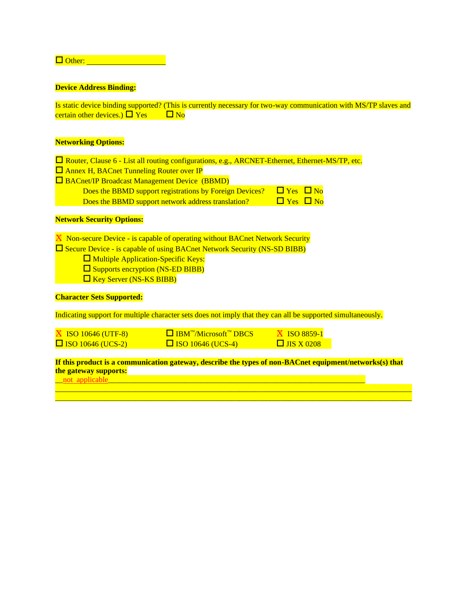Other: New York 1997

#### **Device Address Binding:**

Is static device binding supported? (This is currently necessary for two-way communication with MS/TP slaves and certain other devices.)  $\Box$  Yes  $\Box$  No

#### **Networking Options:**

| $\Box$ Router, Clause 6 - List all routing configurations, e.g., ARCNET-Ethernet, Ethernet-MS/TP, etc. |                      |
|--------------------------------------------------------------------------------------------------------|----------------------|
| $\Box$ Annex H, BACnet Tunneling Router over IP                                                        |                      |
| $\Box$ BACnet/IP Broadcast Management Device (BBMD)                                                    |                      |
| Does the BBMD support registrations by Foreign Devices?                                                | $\Box$ Yes $\Box$ No |
| Does the BBMD support network address translation?                                                     | $\Box$ Yes $\Box$ No |
|                                                                                                        |                      |

#### **Network Security Options:**

 $\overline{X}$  Non-secure Device - is capable of operating without BACnet Network Security  $\square$  Secure Device - is capable of using BACnet Network Security (NS-SD BIBB)

- $\square$  Multiple Application-Specific Keys:
- □ Supports encryption (NS-ED BIBB)
- $\Box$  Key Server (NS-KS BIBB)

#### **Character Sets Supported:**

Indicating support for multiple character sets does not imply that they can all be supported simultaneously.

| <b>N</b> ISO 10646 (UTF-8) | $\Box$ IBM <sup>TM</sup> /Microsoft <sup>TM</sup> DBCS | <b>N ISO 8859-1</b> |
|----------------------------|--------------------------------------------------------|---------------------|
| $\Box$ ISO 10646 (UCS-2)   | $\Box$ ISO 10646 (UCS-4)                               | $\Box$ JIS X 0208   |

#### **If this product is a communication gateway, describe the types of non-BACnet equipment/networks(s) that the gateway supports:**

 $\mathcal{L}_\mathcal{L} = \{ \mathcal{L}_\mathcal{L} = \{ \mathcal{L}_\mathcal{L} = \{ \mathcal{L}_\mathcal{L} = \{ \mathcal{L}_\mathcal{L} = \{ \mathcal{L}_\mathcal{L} = \{ \mathcal{L}_\mathcal{L} = \{ \mathcal{L}_\mathcal{L} = \{ \mathcal{L}_\mathcal{L} = \{ \mathcal{L}_\mathcal{L} = \{ \mathcal{L}_\mathcal{L} = \{ \mathcal{L}_\mathcal{L} = \{ \mathcal{L}_\mathcal{L} = \{ \mathcal{L}_\mathcal{L} = \{ \mathcal{L}_\mathcal{$ \_\_\_\_\_\_\_\_\_\_\_\_\_\_\_\_\_\_\_\_\_\_\_\_\_\_\_\_\_\_\_\_\_\_\_\_\_\_\_\_\_\_\_\_\_\_\_\_\_\_\_\_\_\_\_\_\_\_\_\_\_\_\_\_\_\_\_\_\_\_\_\_\_\_\_\_\_\_\_\_\_\_\_\_\_\_\_\_\_\_\_\_\_

or applicable the contract of the contract of the contract of the contract of the contract of the contract of the contract of the contract of the contract of the contract of the contract of the contract of the contract of